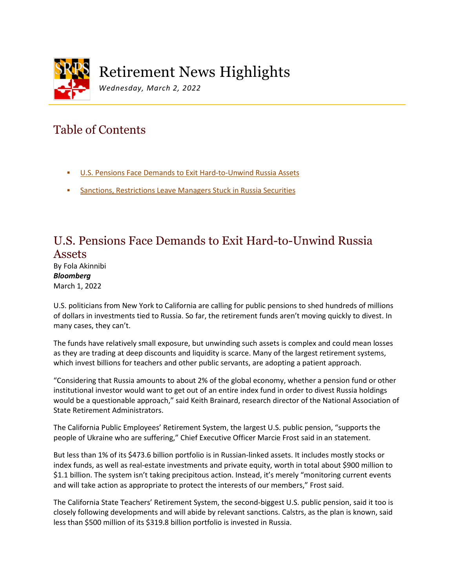

# Retirement News Highlights

*Wednesday, March 2, 2022*

# Table of Contents

- [U.S. Pensions Face Demands to Exit Hard-to-Unwind Russia Assets](#page-0-0)
- [Sanctions, Restrictions Leave Managers Stuck in Russia Securities](#page-3-0)

#### <span id="page-0-0"></span>U.S. Pensions Face Demands to Exit Hard-to-Unwind Russia Assets

By Fola Akinnibi *Bloomberg* March 1, 2022

U.S. politicians from New York to California are calling for public pensions to shed hundreds of millions of dollars in investments tied to Russia. So far, the retirement funds aren't moving quickly to divest. In many cases, they can't.

The funds have relatively small exposure, but unwinding such assets is complex and could mean losses as they are trading at deep discounts and liquidity is scarce. Many of the largest retirement systems, which invest billions for teachers and other public servants, are adopting a patient approach.

"Considering that Russia amounts to about 2% of the global economy, whether a pension fund or other institutional investor would want to get out of an entire index fund in order to divest Russia holdings would be a questionable approach," said Keith Brainard, research director of the National Association of State Retirement Administrators.

The California Public Employees' Retirement System, the largest U.S. public pension, "supports the people of Ukraine who are suffering," Chief Executive Officer Marcie Frost said in an statement.

But less than 1% of its \$473.6 billion portfolio is in Russian-linked assets. It includes mostly stocks or index funds, as well as real-estate investments and private equity, worth in total about \$900 million to \$1.1 billion. The system isn't taking precipitous action. Instead, it's merely "monitoring current events and will take action as appropriate to protect the interests of our members," Frost said.

The California State Teachers' Retirement System, the second-biggest U.S. public pension, said it too is closely following developments and will abide by relevant sanctions. Calstrs, as the plan is known, said less than \$500 million of its \$319.8 billion portfolio is invested in Russia.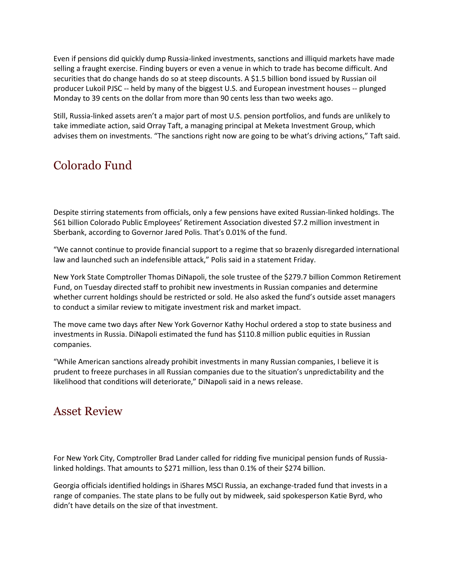Even if pensions did quickly dump Russia-linked investments, sanctions and illiquid markets have made selling a fraught exercise. Finding buyers or even a venue in which to trade has become difficult. And securities that do change hands do so at steep discounts. A \$1.5 billion bond issued by Russian oil producer Lukoil PJSC -- held by many of the biggest U.S. and European investment houses -- plunged Monday to 39 cents on the dollar from more than 90 cents less than two weeks ago.

Still, Russia-linked assets aren't a major part of most U.S. pension portfolios, and funds are unlikely to take immediate action, said Orray Taft, a managing principal at Meketa Investment Group, which advises them on investments. "The sanctions right now are going to be what's driving actions," Taft said.

# Colorado Fund

Despite stirring statements from officials, only a few pensions have exited Russian-linked holdings. The \$61 billion Colorado Public Employees' Retirement Association divested \$7.2 million investment in Sberbank, according to Governor Jared Polis. That's 0.01% of the fund.

"We cannot continue to provide financial support to a regime that so brazenly disregarded international law and launched such an indefensible attack," Polis said in a statement Friday.

New York State Comptroller Thomas DiNapoli, the sole trustee of the \$279.7 billion Common Retirement Fund, on Tuesday directed staff to prohibit new investments in Russian companies and determine whether current holdings should be restricted or sold. He also asked the fund's outside asset managers to conduct a similar review to mitigate investment risk and market impact.

The move came two days after New York Governor Kathy Hochul ordered a stop to state business and investments in Russia. DiNapoli estimated the fund has \$110.8 million public equities in Russian companies.

"While American sanctions already prohibit investments in many Russian companies, I believe it is prudent to freeze purchases in all Russian companies due to the situation's unpredictability and the likelihood that conditions will deteriorate," DiNapoli said in a news release.

#### Asset Review

For New York City, Comptroller Brad Lander called for ridding five municipal pension funds of Russialinked holdings. That amounts to \$271 million, less than 0.1% of their \$274 billion.

Georgia officials identified holdings in iShares MSCI Russia, an exchange-traded fund that invests in a range of companies. The state plans to be fully out by midweek, said spokesperson Katie Byrd, who didn't have details on the size of that investment.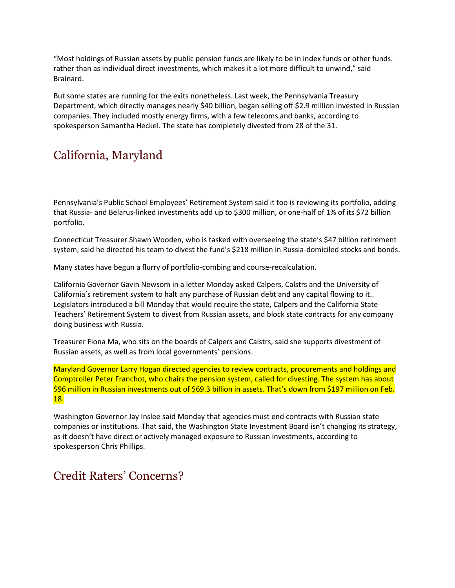"Most holdings of Russian assets by public pension funds are likely to be in index funds or other funds. rather than as individual direct investments, which makes it a lot more difficult to unwind," said Brainard.

But some states are running for the exits nonetheless. Last week, the Pennsylvania Treasury Department, which directly manages nearly \$40 billion, began selling off \$2.9 million invested in Russian companies. They included mostly energy firms, with a few telecoms and banks, according to spokesperson Samantha Heckel. The state has completely divested from 28 of the 31.

## California, Maryland

Pennsylvania's Public School Employees' Retirement System said it too is reviewing its portfolio, adding that Russia- and Belarus-linked investments add up to \$300 million, or one-half of 1% of its \$72 billion portfolio.

Connecticut Treasurer Shawn Wooden, who is tasked with overseeing the state's \$47 billion retirement system, said he directed his team to divest the fund's \$218 million in Russia-domiciled stocks and bonds.

Many states have begun a flurry of portfolio-combing and course-recalculation.

California Governor Gavin Newsom in a letter Monday asked Calpers, Calstrs and the University of California's retirement system to halt any purchase of Russian debt and any capital flowing to it.. Legislators introduced a bill Monday that would require the state, Calpers and the California State Teachers' Retirement System to divest from Russian assets, and block state contracts for any company doing business with Russia.

Treasurer Fiona Ma, who sits on the boards of Calpers and Calstrs, said she supports divestment of Russian assets, as well as from local governments' pensions.

Maryland Governor Larry Hogan directed agencies to review contracts, procurements and holdings and Comptroller Peter Franchot, who chairs the pension system, called for divesting. The system has about \$96 million in Russian investments out of \$69.3 billion in assets. That's down from \$197 million on Feb. 18.

Washington Governor Jay Inslee said Monday that agencies must end contracts with Russian state companies or institutions. That said, the Washington State Investment Board isn't changing its strategy, as it doesn't have direct or actively managed exposure to Russian investments, according to spokesperson Chris Phillips.

### Credit Raters' Concerns?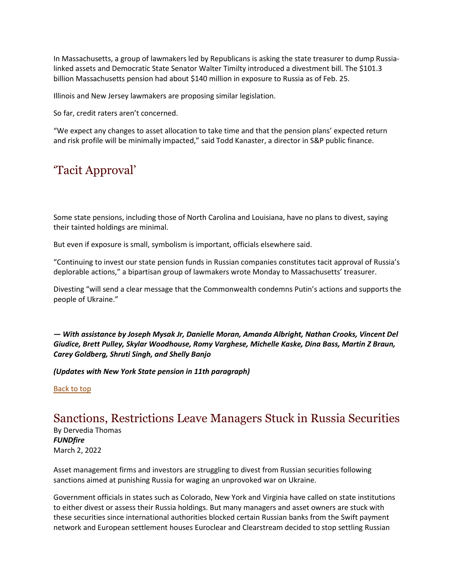In Massachusetts, a group of lawmakers led by Republicans is asking the state treasurer to dump Russialinked assets and Democratic State Senator Walter Timilty introduced a divestment bill. The \$101.3 billion Massachusetts pension had about \$140 million in exposure to Russia as of Feb. 25.

Illinois and New Jersey lawmakers are proposing similar legislation.

So far, credit raters aren't concerned.

"We expect any changes to asset allocation to take time and that the pension plans' expected return and risk profile will be minimally impacted," said Todd Kanaster, a director in S&P public finance.

### 'Tacit Approval'

Some state pensions, including those of North Carolina and Louisiana, have no plans to divest, saying their tainted holdings are minimal.

But even if exposure is small, symbolism is important, officials elsewhere said.

"Continuing to invest our state pension funds in Russian companies constitutes tacit approval of Russia's deplorable actions," a bipartisan group of lawmakers wrote Monday to Massachusetts' treasurer.

Divesting "will send a clear message that the Commonwealth condemns Putin's actions and supports the people of Ukraine."

*— With assistance by Joseph Mysak Jr, Danielle Moran, Amanda Albright, Nathan Crooks, Vincent Del Giudice, Brett Pulley, Skylar Woodhouse, Romy Varghese, Michelle Kaske, Dina Bass, Martin Z Braun, Carey Goldberg, Shruti Singh, and Shelly Banjo*

*(Updates with New York State pension in 11th paragraph)*

Back to top

#### <span id="page-3-0"></span>Sanctions, Restrictions Leave Managers Stuck in Russia Securities

By Dervedia Thomas *FUNDfire* March 2, 2022

Asset management firms and investors are struggling to divest from Russian securities following sanctions aimed at punishing Russia for waging an unprovoked war on Ukraine.

Government officials in states such as Colorado, New York and Virginia have called on state institutions to either divest or assess their Russia holdings. But many managers and asset owners are stuck with these securities since international authorities blocked certain Russian banks from the Swift payment network and European settlement houses Euroclear and Clearstream decided to stop settling Russian